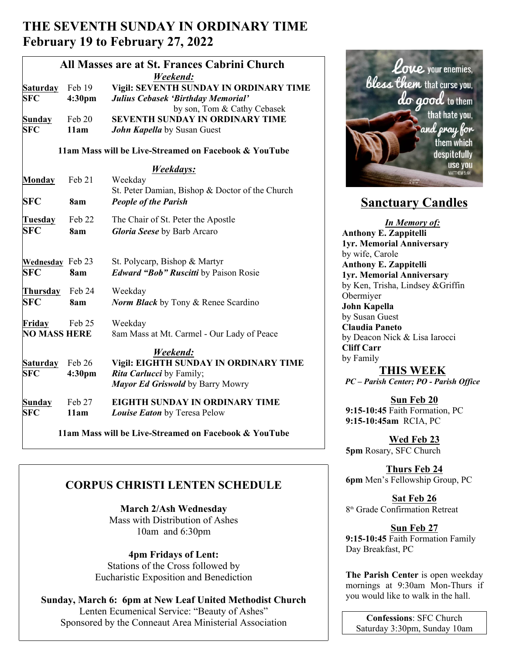# **THE SEVENTH SUNDAY IN ORDINARY TIME February 19 to February 27, 2022**

|                     |                    | All Masses are at St. Frances Cabrini Church          |                                         |
|---------------------|--------------------|-------------------------------------------------------|-----------------------------------------|
|                     |                    | Weekend:                                              |                                         |
| <b>Saturday</b>     | Feb 19             | Vigil: SEVENTH SUNDAY IN ORDINARY TIME                | bless                                   |
| <b>SFC</b>          | 4:30pm             | Julius Cebasek 'Birthday Memorial'                    |                                         |
|                     |                    | by son, Tom & Cathy Cebasek                           |                                         |
| Sunday              | Feb 20             | <b>SEVENTH SUNDAY IN ORDINARY TIME</b>                |                                         |
| <b>SFC</b>          | 11am               | John Kapella by Susan Guest                           |                                         |
|                     |                    |                                                       |                                         |
|                     |                    | 11am Mass will be Live-Streamed on Facebook & YouTube |                                         |
|                     |                    | Weekdays:                                             |                                         |
| <b>Monday</b>       | Feb 21             | Weekday                                               |                                         |
|                     |                    | St. Peter Damian, Bishop & Doctor of the Church       |                                         |
| <b>SFC</b>          | 8am                | <b>People of the Parish</b>                           | <b>Sanctuary</b>                        |
| Tuesday             | Feb 22             | The Chair of St. Peter the Apostle                    | <b>In Memo</b>                          |
| <b>SFC</b>          | 8am                | Gloria Seese by Barb Arcaro                           | <b>Anthony E. Zappite</b>               |
|                     |                    |                                                       | 1yr. Memorial Anni                      |
|                     |                    |                                                       | by wife, Carole                         |
| Wednesday Feb 23    |                    | St. Polycarp, Bishop & Martyr                         | <b>Anthony E. Zappite</b>               |
| <b>SFC</b>          | 8am                | <b>Edward "Bob" Ruscitti</b> by Paison Rosie          | 1yr. Memorial Anni                      |
| Thursday            | Feb 24             | Weekday                                               | by Ken, Trisha, Lind                    |
| <b>SFC</b>          | 8am                | <b>Norm Black</b> by Tony & Renee Scardino            | Obermiyer                               |
|                     |                    |                                                       | John Kapella                            |
| Friday              | Feb 25             | Weekday                                               | by Susan Guest                          |
| <b>NO MASS HERE</b> |                    | 8am Mass at Mt. Carmel - Our Lady of Peace            | <b>Claudia Paneto</b>                   |
|                     |                    |                                                       | by Deacon Nick & L<br><b>Cliff Carr</b> |
|                     |                    | Weekend:                                              | by Family                               |
| <b>Saturday</b>     | Feb 26             | Vigil: EIGHTH SUNDAY IN ORDINARY TIME                 | THIS W                                  |
| <b>SFC</b>          | 4:30 <sub>pm</sub> | Rita Carlucci by Family;                              | PC - Parish Center; 1                   |
|                     |                    | Mayor Ed Griswold by Barry Mowry                      |                                         |
| Sunday              | Feb 27             | EIGHTH SUNDAY IN ORDINARY TIME                        | Sun Fe                                  |
| <b>SFC</b>          | 11am               | Louise Eaton by Teresa Pelow                          | 9:15-10:45 Faith Fo                     |
|                     |                    |                                                       | 9:15-10:45am RCI                        |

 **11am Mass will be Live-Streamed on Facebook & YouTube**

## **CORPUS CHRISTI LENTEN SCHEDULE**

**March 2/Ash Wednesday** Mass with Distribution of Ashes 10am and 6:30pm

**4pm Fridays of Lent:** Stations of the Cross followed by Eucharistic Exposition and Benediction

**Sunday, March 6: 6pm at New Leaf United Methodist Church** Lenten Ecumenical Service: "Beauty of Ashes" Sponsored by the Conneaut Area Ministerial Association



# **Sanctuary Candles**

*In Memory of:* **Anthony E. Zappitelli 1yr. Memorial Anniversary** by wife, Carole **Anthony E. Zappitelli 1yr. Memorial Anniversary** by Ken, Trisha, Lindsey &Griffin Obermiyer **John Kapella**  by Susan Guest **Claudia Paneto**  by Deacon Nick & Lisa Iarocci **Cliff Carr** by Family

## **THIS WEEK**

*PC – Parish Center; PO - Parish Office*

**Sun Feb 20 9:15-10:45** Faith Formation, PC **9:15-10:45am** RCIA, PC

**Wed Feb 23 5pm** Rosary, SFC Church

**Thurs Feb 24 6pm** Men's Fellowship Group, PC

**Sat Feb 26** 8<sup>th</sup> Grade Confirmation Retreat

## **Sun Feb 27**

**9:15-10:45** Faith Formation Family Day Breakfast, PC

**The Parish Center** is open weekday mornings at 9:30am Mon-Thurs if you would like to walk in the hall.

**Confessions**: SFC Church Saturday 3:30pm, Sunday 10am